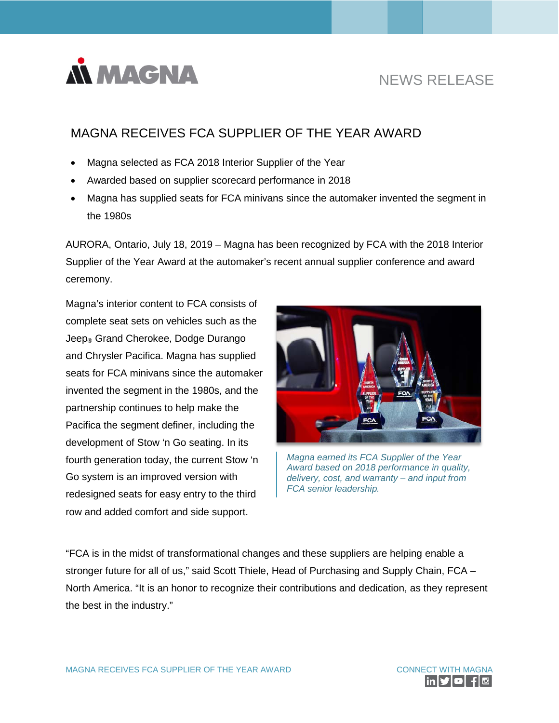

# NEWS RELEASE

## MAGNA RECEIVES FCA SUPPLIER OF THE YEAR AWARD

- Magna selected as FCA 2018 Interior Supplier of the Year
- Awarded based on supplier scorecard performance in 2018
- Magna has supplied seats for FCA minivans since the automaker invented the segment in the 1980s

AURORA, Ontario, July 18, 2019 – Magna has been recognized by FCA with the 2018 Interior Supplier of the Year Award at the automaker's recent annual supplier conference and award ceremony.

Magna's interior content to FCA consists of complete seat sets on vehicles such as the Jeep<sub>®</sub> Grand Cherokee, Dodge Durango and Chrysler Pacifica. Magna has supplied seats for FCA minivans since the automaker invented the segment in the 1980s, and the partnership continues to help make the Pacifica the segment definer, including the development of Stow 'n Go seating. In its fourth generation today, the current Stow 'n Go system is an improved version with redesigned seats for easy entry to the third row and added comfort and side support.



*Magna earned its FCA Supplier of the Year Award based on 2018 performance in quality, delivery, cost, and warranty – and input from FCA senior leadership.*

"FCA is in the midst of transformational changes and these suppliers are helping enable a stronger future for all of us," said Scott Thiele, Head of Purchasing and Supply Chain, FCA – North America. "It is an honor to recognize their contributions and dedication, as they represent the best in the industry."

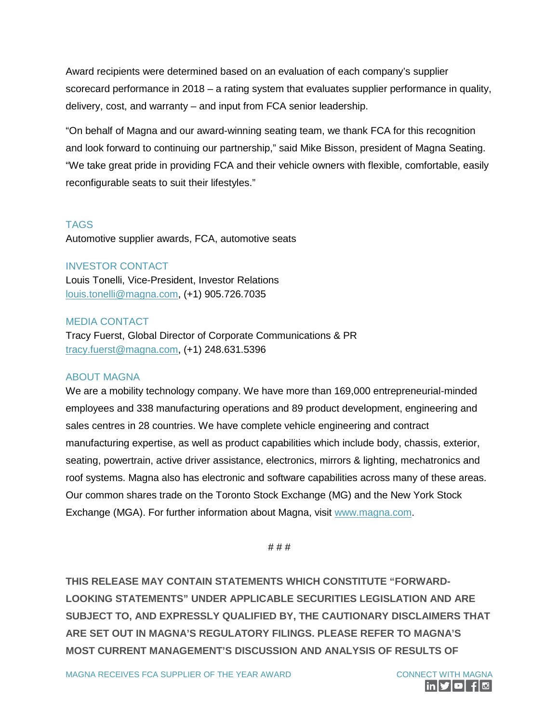Award recipients were determined based on an evaluation of each company's supplier scorecard performance in 2018 – a rating system that evaluates supplier performance in quality, delivery, cost, and warranty – and input from FCA senior leadership.

"On behalf of Magna and our award-winning seating team, we thank FCA for this recognition and look forward to continuing our partnership," said Mike Bisson, president of Magna Seating. "We take great pride in providing FCA and their vehicle owners with flexible, comfortable, easily reconfigurable seats to suit their lifestyles."

### TAGS

Automotive supplier awards, FCA, automotive seats

#### INVESTOR CONTACT

Louis Tonelli, Vice-President, Investor Relations [louis.tonelli@magna.com,](mailto:louis.tonelli@magna.com) (+1) 905.726.7035

### MEDIA CONTACT

Tracy Fuerst, Global Director of Corporate Communications & PR [tracy.fuerst@magna.com,](mailto:tracy.fuerst@magna.com) (+1) 248.631.5396

#### ABOUT MAGNA

We are a mobility technology company. We have more than 169,000 entrepreneurial-minded employees and 338 manufacturing operations and 89 product development, engineering and sales centres in 28 countries. We have complete vehicle engineering and contract manufacturing expertise, as well as product capabilities which include body, chassis, exterior, seating, powertrain, active driver assistance, electronics, mirrors & lighting, mechatronics and roof systems. Magna also has electronic and software capabilities across many of these areas. Our common shares trade on the Toronto Stock Exchange (MG) and the New York Stock Exchange (MGA). For further information about Magna, visit www.magna.com.

# # #

**THIS RELEASE MAY CONTAIN STATEMENTS WHICH CONSTITUTE "FORWARD-LOOKING STATEMENTS" UNDER APPLICABLE SECURITIES LEGISLATION AND ARE SUBJECT TO, AND EXPRESSLY QUALIFIED BY, THE CAUTIONARY DISCLAIMERS THAT ARE SET OUT IN MAGNA'S REGULATORY FILINGS. PLEASE REFER TO MAGNA'S MOST CURRENT MANAGEMENT'S DISCUSSION AND ANALYSIS OF RESULTS OF**